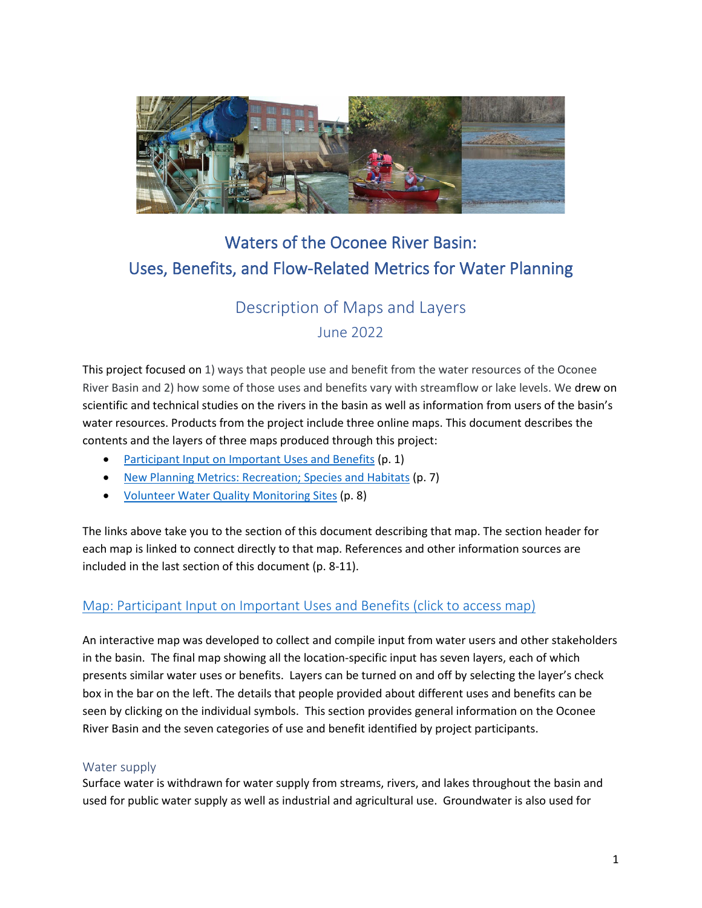

# Waters of the Oconee River Basin: Uses, Benefits, and Flow-Related Metrics for Water Planning

# Description of Maps and Layers June 2022

This project focused on 1) ways that people use and benefit from the water resources of the Oconee River Basin and 2) how some of those uses and benefits vary with streamflow or lake levels. We drew on scientific and technical studies on the rivers in the basin as well as information from users of the basin's water resources. Products from the project include three online maps. This document describes the contents and the layers of three maps produced through this project:

- [Participant Input on Important Uses and Benefits](#page-0-0) (p. 1)
- [New Planning Metrics: Recreation; Species and Habitats](#page-6-0) (p. 7)
- [Volunteer Water Quality Monitoring Sites](#page-7-0) (p. 8)

The links above take you to the section of this document describing that map. The section header for each map is linked to connect directly to that map. References and other information sources are included in the last section of this document (p. 8-11).

# <span id="page-0-0"></span>[Map: Participant Input on Important Uses and Benefits](https://www.google.com/maps/d/edit?mid=1lx6UXO3iGEEBK0-vCgGMKTjiLL6JO5FA&usp=sharing) (click to access map)

An interactive map was developed to collect and compile input from water users and other stakeholders in the basin. The final map showing all the location-specific input has seven layers, each of which presents similar water uses or benefits. Layers can be turned on and off by selecting the layer's check box in the bar on the left. The details that people provided about different uses and benefits can be seen by clicking on the individual symbols. This section provides general information on the Oconee River Basin and the seven categories of use and benefit identified by project participants.

## Water supply

Surface water is withdrawn for water supply from streams, rivers, and lakes throughout the basin and used for public water supply as well as industrial and agricultural use. Groundwater is also used for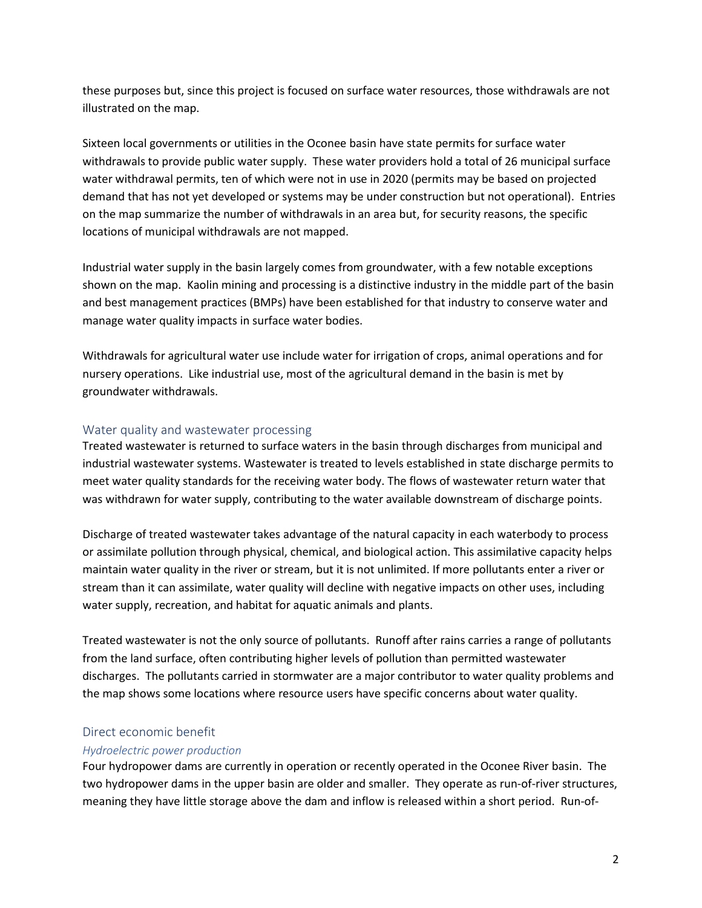these purposes but, since this project is focused on surface water resources, those withdrawals are not illustrated on the map.

Sixteen local governments or utilities in the Oconee basin have state permits for surface water withdrawals to provide public water supply. These water providers hold a total of 26 municipal surface water withdrawal permits, ten of which were not in use in 2020 (permits may be based on projected demand that has not yet developed or systems may be under construction but not operational). Entries on the map summarize the number of withdrawals in an area but, for security reasons, the specific locations of municipal withdrawals are not mapped.

Industrial water supply in the basin largely comes from groundwater, with a few notable exceptions shown on the map. Kaolin mining and processing is a distinctive industry in the middle part of the basin and best management practices (BMPs) have been established for that industry to conserve water and manage water quality impacts in surface water bodies.

Withdrawals for agricultural water use include water for irrigation of crops, animal operations and for nursery operations. Like industrial use, most of the agricultural demand in the basin is met by groundwater withdrawals.

## Water quality and wastewater processing

Treated wastewater is returned to surface waters in the basin through discharges from municipal and industrial wastewater systems. Wastewater is treated to levels established in state discharge permits to meet water quality standards for the receiving water body. The flows of wastewater return water that was withdrawn for water supply, contributing to the water available downstream of discharge points.

Discharge of treated wastewater takes advantage of the natural capacity in each waterbody to process or assimilate pollution through physical, chemical, and biological action. This assimilative capacity helps maintain water quality in the river or stream, but it is not unlimited. If more pollutants enter a river or stream than it can assimilate, water quality will decline with negative impacts on other uses, including water supply, recreation, and habitat for aquatic animals and plants.

Treated wastewater is not the only source of pollutants. Runoff after rains carries a range of pollutants from the land surface, often contributing higher levels of pollution than permitted wastewater discharges. The pollutants carried in stormwater are a major contributor to water quality problems and the map shows some locations where resource users have specific concerns about water quality.

## Direct economic benefit

## *Hydroelectric power production*

Four hydropower dams are currently in operation or recently operated in the Oconee River basin. The two hydropower dams in the upper basin are older and smaller. They operate as run-of-river structures, meaning they have little storage above the dam and inflow is released within a short period. Run-of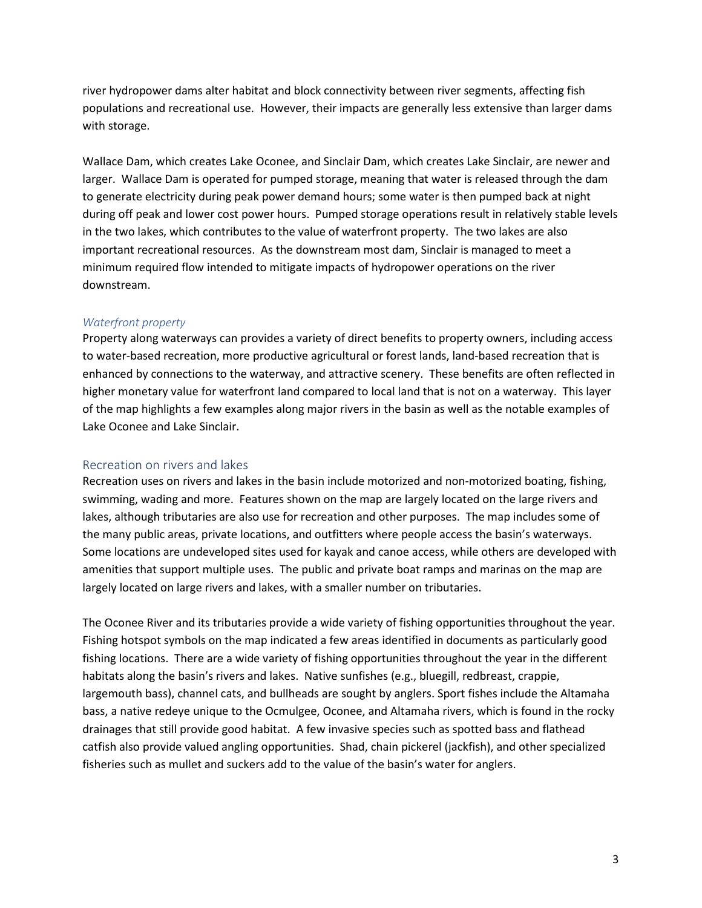river hydropower dams alter habitat and block connectivity between river segments, affecting fish populations and recreational use. However, their impacts are generally less extensive than larger dams with storage.

Wallace Dam, which creates Lake Oconee, and Sinclair Dam, which creates Lake Sinclair, are newer and larger. Wallace Dam is operated for pumped storage, meaning that water is released through the dam to generate electricity during peak power demand hours; some water is then pumped back at night during off peak and lower cost power hours. Pumped storage operations result in relatively stable levels in the two lakes, which contributes to the value of waterfront property. The two lakes are also important recreational resources. As the downstream most dam, Sinclair is managed to meet a minimum required flow intended to mitigate impacts of hydropower operations on the river downstream.

#### *Waterfront property*

Property along waterways can provides a variety of direct benefits to property owners, including access to water-based recreation, more productive agricultural or forest lands, land-based recreation that is enhanced by connections to the waterway, and attractive scenery. These benefits are often reflected in higher monetary value for waterfront land compared to local land that is not on a waterway. This layer of the map highlights a few examples along major rivers in the basin as well as the notable examples of Lake Oconee and Lake Sinclair.

#### Recreation on rivers and lakes

Recreation uses on rivers and lakes in the basin include motorized and non-motorized boating, fishing, swimming, wading and more. Features shown on the map are largely located on the large rivers and lakes, although tributaries are also use for recreation and other purposes. The map includes some of the many public areas, private locations, and outfitters where people access the basin's waterways. Some locations are undeveloped sites used for kayak and canoe access, while others are developed with amenities that support multiple uses. The public and private boat ramps and marinas on the map are largely located on large rivers and lakes, with a smaller number on tributaries.

The Oconee River and its tributaries provide a wide variety of fishing opportunities throughout the year. Fishing hotspot symbols on the map indicated a few areas identified in documents as particularly good fishing locations. There are a wide variety of fishing opportunities throughout the year in the different habitats along the basin's rivers and lakes. Native sunfishes (e.g., bluegill, redbreast, crappie, largemouth bass), channel cats, and bullheads are sought by anglers. Sport fishes include the Altamaha bass, a native redeye unique to the Ocmulgee, Oconee, and Altamaha rivers, which is found in the rocky drainages that still provide good habitat. A few invasive species such as spotted bass and flathead catfish also provide valued angling opportunities. Shad, chain pickerel (jackfish), and other specialized fisheries such as mullet and suckers add to the value of the basin's water for anglers.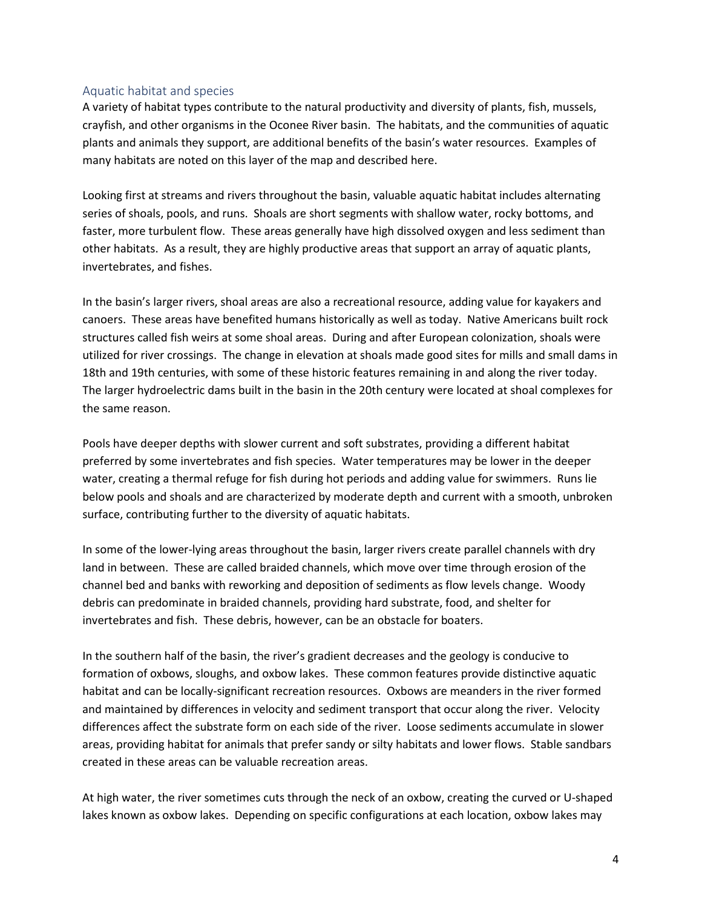#### Aquatic habitat and species

A variety of habitat types contribute to the natural productivity and diversity of plants, fish, mussels, crayfish, and other organisms in the Oconee River basin. The habitats, and the communities of aquatic plants and animals they support, are additional benefits of the basin's water resources. Examples of many habitats are noted on this layer of the map and described here.

Looking first at streams and rivers throughout the basin, valuable aquatic habitat includes alternating series of shoals, pools, and runs. Shoals are short segments with shallow water, rocky bottoms, and faster, more turbulent flow. These areas generally have high dissolved oxygen and less sediment than other habitats. As a result, they are highly productive areas that support an array of aquatic plants, invertebrates, and fishes.

In the basin's larger rivers, shoal areas are also a recreational resource, adding value for kayakers and canoers. These areas have benefited humans historically as well as today. Native Americans built rock structures called fish weirs at some shoal areas. During and after European colonization, shoals were utilized for river crossings. The change in elevation at shoals made good sites for mills and small dams in 18th and 19th centuries, with some of these historic features remaining in and along the river today. The larger hydroelectric dams built in the basin in the 20th century were located at shoal complexes for the same reason.

Pools have deeper depths with slower current and soft substrates, providing a different habitat preferred by some invertebrates and fish species. Water temperatures may be lower in the deeper water, creating a thermal refuge for fish during hot periods and adding value for swimmers. Runs lie below pools and shoals and are characterized by moderate depth and current with a smooth, unbroken surface, contributing further to the diversity of aquatic habitats.

In some of the lower-lying areas throughout the basin, larger rivers create parallel channels with dry land in between. These are called braided channels, which move over time through erosion of the channel bed and banks with reworking and deposition of sediments as flow levels change. Woody debris can predominate in braided channels, providing hard substrate, food, and shelter for invertebrates and fish. These debris, however, can be an obstacle for boaters.

In the southern half of the basin, the river's gradient decreases and the geology is conducive to formation of oxbows, sloughs, and oxbow lakes. These common features provide distinctive aquatic habitat and can be locally-significant recreation resources. Oxbows are meanders in the river formed and maintained by differences in velocity and sediment transport that occur along the river. Velocity differences affect the substrate form on each side of the river. Loose sediments accumulate in slower areas, providing habitat for animals that prefer sandy or silty habitats and lower flows. Stable sandbars created in these areas can be valuable recreation areas.

At high water, the river sometimes cuts through the neck of an oxbow, creating the curved or U-shaped lakes known as oxbow lakes. Depending on specific configurations at each location, oxbow lakes may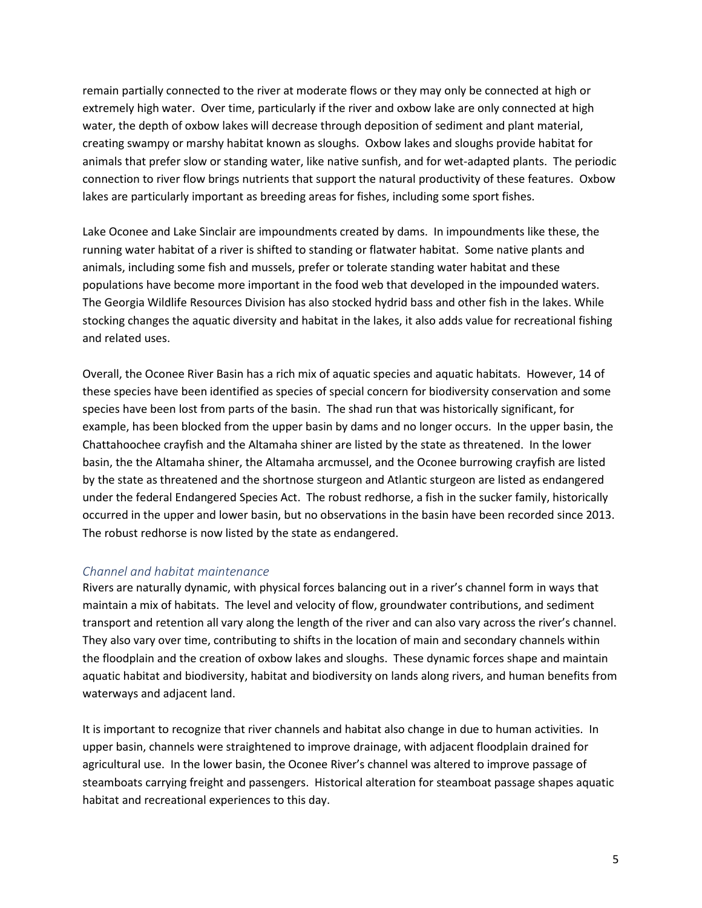remain partially connected to the river at moderate flows or they may only be connected at high or extremely high water. Over time, particularly if the river and oxbow lake are only connected at high water, the depth of oxbow lakes will decrease through deposition of sediment and plant material, creating swampy or marshy habitat known as sloughs. Oxbow lakes and sloughs provide habitat for animals that prefer slow or standing water, like native sunfish, and for wet-adapted plants. The periodic connection to river flow brings nutrients that support the natural productivity of these features. Oxbow lakes are particularly important as breeding areas for fishes, including some sport fishes.

Lake Oconee and Lake Sinclair are impoundments created by dams. In impoundments like these, the running water habitat of a river is shifted to standing or flatwater habitat. Some native plants and animals, including some fish and mussels, prefer or tolerate standing water habitat and these populations have become more important in the food web that developed in the impounded waters. The Georgia Wildlife Resources Division has also stocked hydrid bass and other fish in the lakes. While stocking changes the aquatic diversity and habitat in the lakes, it also adds value for recreational fishing and related uses.

Overall, the Oconee River Basin has a rich mix of aquatic species and aquatic habitats. However, 14 of these species have been identified as species of special concern for biodiversity conservation and some species have been lost from parts of the basin. The shad run that was historically significant, for example, has been blocked from the upper basin by dams and no longer occurs. In the upper basin, the Chattahoochee crayfish and the Altamaha shiner are listed by the state as threatened. In the lower basin, the the Altamaha shiner, the Altamaha arcmussel, and the Oconee burrowing crayfish are listed by the state as threatened and the shortnose sturgeon and Atlantic sturgeon are listed as endangered under the federal Endangered Species Act. The robust redhorse, a fish in the sucker family, historically occurred in the upper and lower basin, but no observations in the basin have been recorded since 2013. The robust redhorse is now listed by the state as endangered.

#### *Channel and habitat maintenance*

Rivers are naturally dynamic, with physical forces balancing out in a river's channel form in ways that maintain a mix of habitats. The level and velocity of flow, groundwater contributions, and sediment transport and retention all vary along the length of the river and can also vary across the river's channel. They also vary over time, contributing to shifts in the location of main and secondary channels within the floodplain and the creation of oxbow lakes and sloughs. These dynamic forces shape and maintain aquatic habitat and biodiversity, habitat and biodiversity on lands along rivers, and human benefits from waterways and adjacent land.

It is important to recognize that river channels and habitat also change in due to human activities. In upper basin, channels were straightened to improve drainage, with adjacent floodplain drained for agricultural use. In the lower basin, the Oconee River's channel was altered to improve passage of steamboats carrying freight and passengers. Historical alteration for steamboat passage shapes aquatic habitat and recreational experiences to this day.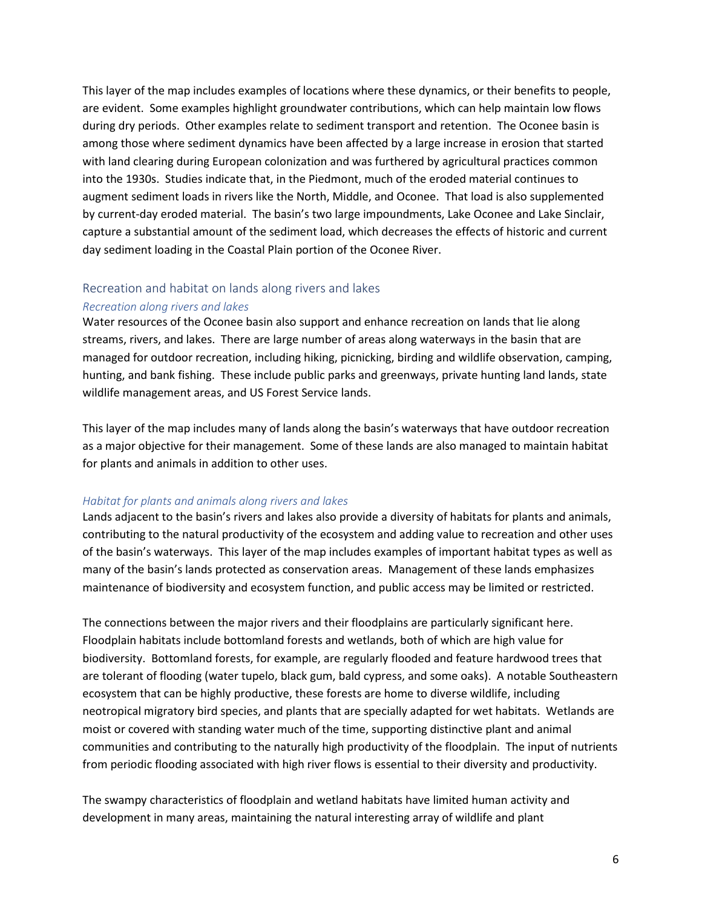This layer of the map includes examples of locations where these dynamics, or their benefits to people, are evident. Some examples highlight groundwater contributions, which can help maintain low flows during dry periods. Other examples relate to sediment transport and retention. The Oconee basin is among those where sediment dynamics have been affected by a large increase in erosion that started with land clearing during European colonization and was furthered by agricultural practices common into the 1930s. Studies indicate that, in the Piedmont, much of the eroded material continues to augment sediment loads in rivers like the North, Middle, and Oconee. That load is also supplemented by current-day eroded material. The basin's two large impoundments, Lake Oconee and Lake Sinclair, capture a substantial amount of the sediment load, which decreases the effects of historic and current day sediment loading in the Coastal Plain portion of the Oconee River.

## Recreation and habitat on lands along rivers and lakes

#### *Recreation along rivers and lakes*

Water resources of the Oconee basin also support and enhance recreation on lands that lie along streams, rivers, and lakes. There are large number of areas along waterways in the basin that are managed for outdoor recreation, including hiking, picnicking, birding and wildlife observation, camping, hunting, and bank fishing. These include public parks and greenways, private hunting land lands, state wildlife management areas, and US Forest Service lands.

This layer of the map includes many of lands along the basin's waterways that have outdoor recreation as a major objective for their management. Some of these lands are also managed to maintain habitat for plants and animals in addition to other uses.

#### *Habitat for plants and animals along rivers and lakes*

Lands adjacent to the basin's rivers and lakes also provide a diversity of habitats for plants and animals, contributing to the natural productivity of the ecosystem and adding value to recreation and other uses of the basin's waterways. This layer of the map includes examples of important habitat types as well as many of the basin's lands protected as conservation areas. Management of these lands emphasizes maintenance of biodiversity and ecosystem function, and public access may be limited or restricted.

The connections between the major rivers and their floodplains are particularly significant here. Floodplain habitats include bottomland forests and wetlands, both of which are high value for biodiversity. Bottomland forests, for example, are regularly flooded and feature hardwood trees that are tolerant of flooding (water tupelo, black gum, bald cypress, and some oaks). A notable Southeastern ecosystem that can be highly productive, these forests are home to diverse wildlife, including neotropical migratory bird species, and plants that are specially adapted for wet habitats. Wetlands are moist or covered with standing water much of the time, supporting distinctive plant and animal communities and contributing to the naturally high productivity of the floodplain. The input of nutrients from periodic flooding associated with high river flows is essential to their diversity and productivity.

The swampy characteristics of floodplain and wetland habitats have limited human activity and development in many areas, maintaining the natural interesting array of wildlife and plant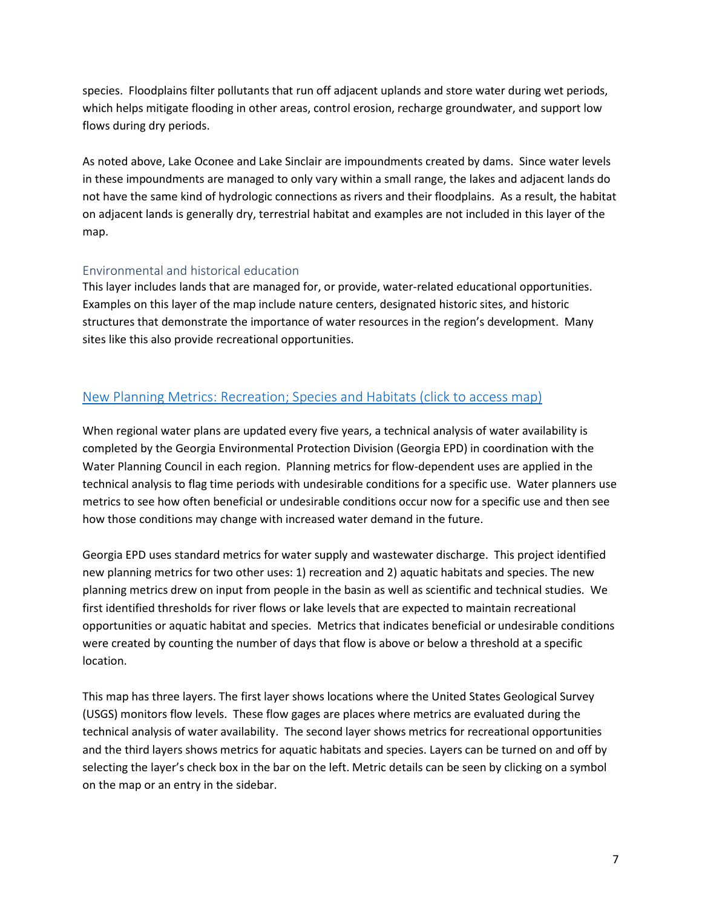species. Floodplains filter pollutants that run off adjacent uplands and store water during wet periods, which helps mitigate flooding in other areas, control erosion, recharge groundwater, and support low flows during dry periods.

As noted above, Lake Oconee and Lake Sinclair are impoundments created by dams. Since water levels in these impoundments are managed to only vary within a small range, the lakes and adjacent lands do not have the same kind of hydrologic connections as rivers and their floodplains. As a result, the habitat on adjacent lands is generally dry, terrestrial habitat and examples are not included in this layer of the map.

## Environmental and historical education

This layer includes lands that are managed for, or provide, water-related educational opportunities. Examples on this layer of the map include nature centers, designated historic sites, and historic structures that demonstrate the importance of water resources in the region's development. Many sites like this also provide recreational opportunities.

# <span id="page-6-0"></span>[New Planning Metrics: Recreation; Species and Habitats](https://www.google.com/maps/d/edit?mid=10S37SS-_s0d2S4P6YDAvKsZYUEOx7B7c&usp=sharing) (click to access map)

When regional water plans are updated every five years, a technical analysis of water availability is completed by the Georgia Environmental Protection Division (Georgia EPD) in coordination with the Water Planning Council in each region. Planning metrics for flow-dependent uses are applied in the technical analysis to flag time periods with undesirable conditions for a specific use. Water planners use metrics to see how often beneficial or undesirable conditions occur now for a specific use and then see how those conditions may change with increased water demand in the future.

Georgia EPD uses standard metrics for water supply and wastewater discharge. This project identified new planning metrics for two other uses: 1) recreation and 2) aquatic habitats and species. The new planning metrics drew on input from people in the basin as well as scientific and technical studies. We first identified thresholds for river flows or lake levels that are expected to maintain recreational opportunities or aquatic habitat and species. Metrics that indicates beneficial or undesirable conditions were created by counting the number of days that flow is above or below a threshold at a specific location.

This map has three layers. The first layer shows locations where the United States Geological Survey (USGS) monitors flow levels. These flow gages are places where metrics are evaluated during the technical analysis of water availability. The second layer shows metrics for recreational opportunities and the third layers shows metrics for aquatic habitats and species. Layers can be turned on and off by selecting the layer's check box in the bar on the left. Metric details can be seen by clicking on a symbol on the map or an entry in the sidebar.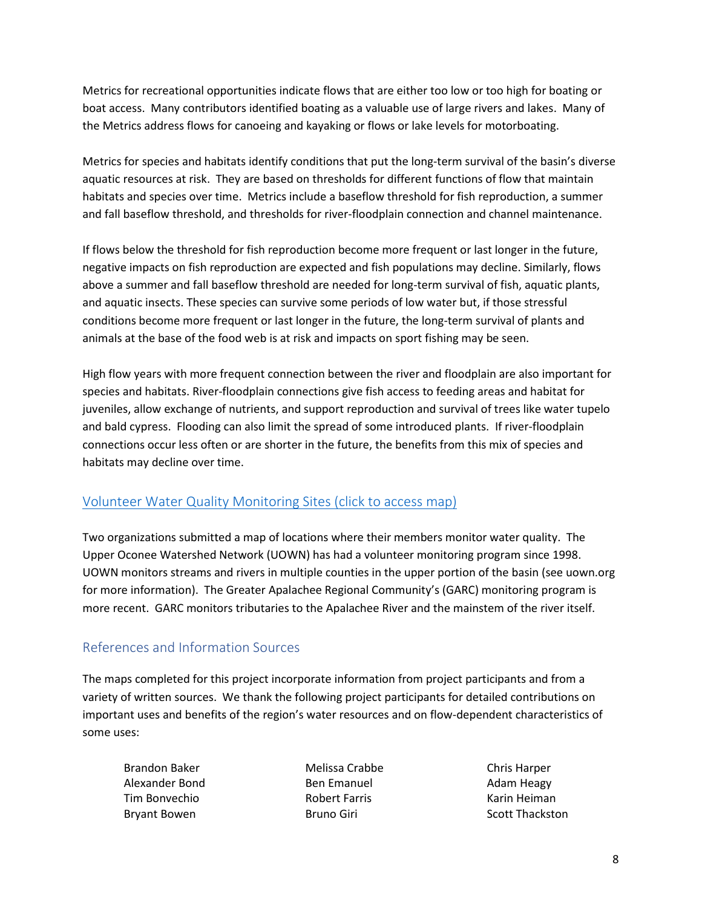Metrics for recreational opportunities indicate flows that are either too low or too high for boating or boat access. Many contributors identified boating as a valuable use of large rivers and lakes. Many of the Metrics address flows for canoeing and kayaking or flows or lake levels for motorboating.

Metrics for species and habitats identify conditions that put the long-term survival of the basin's diverse aquatic resources at risk. They are based on thresholds for different functions of flow that maintain habitats and species over time. Metrics include a baseflow threshold for fish reproduction, a summer and fall baseflow threshold, and thresholds for river-floodplain connection and channel maintenance.

If flows below the threshold for fish reproduction become more frequent or last longer in the future, negative impacts on fish reproduction are expected and fish populations may decline. Similarly, flows above a summer and fall baseflow threshold are needed for long-term survival of fish, aquatic plants, and aquatic insects. These species can survive some periods of low water but, if those stressful conditions become more frequent or last longer in the future, the long-term survival of plants and animals at the base of the food web is at risk and impacts on sport fishing may be seen.

High flow years with more frequent connection between the river and floodplain are also important for species and habitats. River-floodplain connections give fish access to feeding areas and habitat for juveniles, allow exchange of nutrients, and support reproduction and survival of trees like water tupelo and bald cypress. Flooding can also limit the spread of some introduced plants. If river-floodplain connections occur less often or are shorter in the future, the benefits from this mix of species and habitats may decline over time.

# <span id="page-7-0"></span>[Volunteer Water Quality Monitoring Sites](https://www.google.com/maps/d/edit?mid=1K1J2C79KyUB2Dc-DRGSPDg6Aj4kxZc95&usp=sharing) (click to access map)

Two organizations submitted a map of locations where their members monitor water quality. The Upper Oconee Watershed Network (UOWN) has had a volunteer monitoring program since 1998. UOWN monitors streams and rivers in multiple counties in the upper portion of the basin (see uown.org for more information). The Greater Apalachee Regional Community's (GARC) monitoring program is more recent. GARC monitors tributaries to the Apalachee River and the mainstem of the river itself.

# References and Information Sources

The maps completed for this project incorporate information from project participants and from a variety of written sources. We thank the following project participants for detailed contributions on important uses and benefits of the region's water resources and on flow-dependent characteristics of some uses:

Brandon Baker Alexander Bond Tim Bonvechio Bryant Bowen

Melissa Crabbe Ben Emanuel Robert Farris Bruno Giri

Chris Harper Adam Heagy Karin Heiman Scott Thackston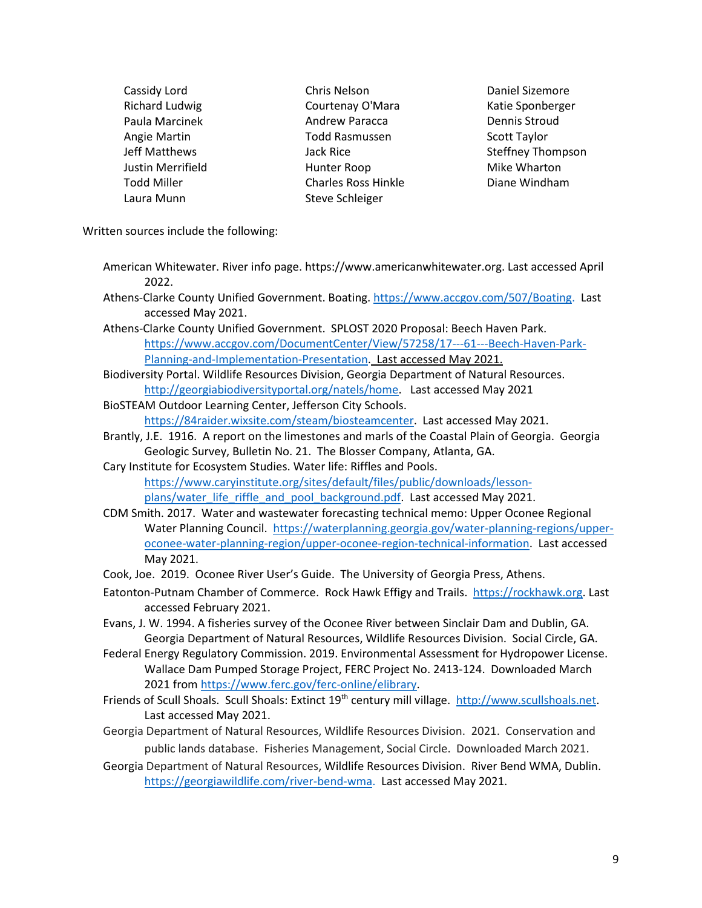Cassidy Lord Richard Ludwig Paula Marcinek Angie Martin Jeff Matthews Justin Merrifield Todd Miller Laura Munn

Chris Nelson Courtenay O'Mara Andrew Paracca Todd Rasmussen Jack Rice Hunter Roop Charles Ross Hinkle Steve Schleiger

Daniel Sizemore Katie Sponberger Dennis Stroud Scott Taylor Steffney Thompson Mike Wharton Diane Windham

Written sources include the following:

- American Whitewater. River info page. https://www.americanwhitewater.org. Last accessed April 2022.
- Athens-Clarke County Unified Government. Boating. [https://www.accgov.com/507/Boating.](https://www.accgov.com/507/Boating) Last accessed May 2021.
- Athens-Clarke County Unified Government. SPLOST 2020 Proposal: Beech Haven Park. [https://www.accgov.com/DocumentCenter/View/57258/17---61---Beech-Haven-Park-](https://www.accgov.com/DocumentCenter/View/57258/17---61---Beech-Haven-Park-Planning-and-Implementation-Presentation)[Planning-and-Implementation-Presentation.](https://www.accgov.com/DocumentCenter/View/57258/17---61---Beech-Haven-Park-Planning-and-Implementation-Presentation) Last accessed May 2021.
- Biodiversity Portal. Wildlife Resources Division, Georgia Department of Natural Resources. [http://georgiabiodiversityportal.org/natels/home.](http://georgiabiodiversityportal.org/natels/home) Last accessed May 2021
- BioSTEAM Outdoor Learning Center, Jefferson City Schools.

[https://84raider.wixsite.com/steam/biosteamcenter.](https://84raider.wixsite.com/steam/biosteamcenter) Last accessed May 2021.

- Brantly, J.E. 1916. A report on the limestones and marls of the Coastal Plain of Georgia. Georgia Geologic Survey, Bulletin No. 21. The Blosser Company, Atlanta, GA.
- Cary Institute for Ecosystem Studies. Water life: Riffles and Pools. [https://www.caryinstitute.org/sites/default/files/public/downloads/lesson](https://www.caryinstitute.org/sites/default/files/public/downloads/lesson-plans/water_life_riffle_and_pool_background.pdf)[plans/water\\_life\\_riffle\\_and\\_pool\\_background.pdf.](https://www.caryinstitute.org/sites/default/files/public/downloads/lesson-plans/water_life_riffle_and_pool_background.pdf) Last accessed May 2021.
- CDM Smith. 2017. Water and wastewater forecasting technical memo: Upper Oconee Regional Water Planning Council. [https://waterplanning.georgia.gov/water-planning-regions/upper](https://waterplanning.georgia.gov/water-planning-regions/upper-oconee-water-planning-region/upper-oconee-region-technical-information)[oconee-water-planning-region/upper-oconee-region-technical-information.](https://waterplanning.georgia.gov/water-planning-regions/upper-oconee-water-planning-region/upper-oconee-region-technical-information) Last accessed May 2021.
- Cook, Joe. 2019. Oconee River User's Guide. The University of Georgia Press, Athens.
- Eatonton-Putnam Chamber of Commerce. Rock Hawk Effigy and Trails. [https://rockhawk.org.](https://rockhawk.org/) Last accessed February 2021.
- Evans, J. W. 1994. A fisheries survey of the Oconee River between Sinclair Dam and Dublin, GA. Georgia Department of Natural Resources, Wildlife Resources Division. Social Circle, GA.
- Federal Energy Regulatory Commission. 2019. Environmental Assessment for Hydropower License. Wallace Dam Pumped Storage Project, FERC Project No. 2413-124. Downloaded March 2021 from [https://www.ferc.gov/ferc-online/elibrary.](https://www.ferc.gov/ferc-online/elibrary)
- Friends of Scull Shoals. Scull Shoals: Extinct 19<sup>th</sup> century mill village. [http://www.scullshoals.net.](http://www.scullshoals.net/) Last accessed May 2021.
- Georgia Department of Natural Resources, Wildlife Resources Division. 2021. Conservation and public lands database. Fisheries Management, Social Circle. Downloaded March 2021.
- Georgia Department of Natural Resources, Wildlife Resources Division. River Bend WMA, Dublin. [https://georgiawildlife.com/river-bend-wma.](https://georgiawildlife.com/river-bend-wma) Last accessed May 2021.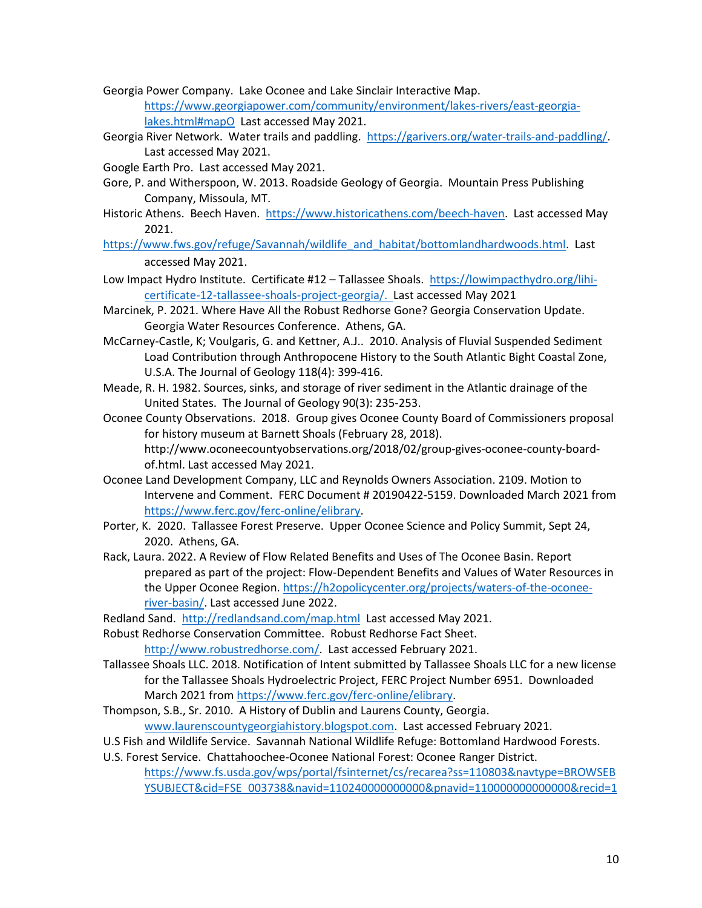- Georgia Power Company. Lake Oconee and Lake Sinclair Interactive Map. [https://www.georgiapower.com/community/environment/lakes-rivers/east-georgia](https://www.georgiapower.com/community/environment/lakes-rivers/east-georgia-lakes.html#mapO)[lakes.html#mapO](https://www.georgiapower.com/community/environment/lakes-rivers/east-georgia-lakes.html#mapO) Last accessed May 2021.
- Georgia River Network. Water trails and paddling. [https://garivers.org/water-trails-and-paddling/.](https://garivers.org/water-trails-and-paddling/) Last accessed May 2021.
- Google Earth Pro. Last accessed May 2021.
- Gore, P. and Witherspoon, W. 2013. Roadside Geology of Georgia. Mountain Press Publishing Company, Missoula, MT.
- Historic Athens. Beech Haven. [https://www.historicathens.com/beech-haven.](https://www.historicathens.com/beech-haven) Last accessed May 2021.
- https://www.fws.gov/refuge/Savannah/wildlife\_and\_habitat/bottomlandhardwoods.html Last accessed May 2021.
- Low Impact Hydro Institute. Certificate #12 Tallassee Shoals. [https://lowimpacthydro.org/lihi](https://lowimpacthydro.org/lihi-certificate-12-tallassee-shoals-project-georgia/)[certificate-12-tallassee-shoals-project-georgia/.](https://lowimpacthydro.org/lihi-certificate-12-tallassee-shoals-project-georgia/) Last accessed May 2021
- Marcinek, P. 2021. Where Have All the Robust Redhorse Gone? Georgia Conservation Update. Georgia Water Resources Conference. Athens, GA.
- McCarney-Castle, K; Voulgaris, G. and Kettner, A.J.. 2010. Analysis of Fluvial Suspended Sediment Load Contribution through Anthropocene History to the South Atlantic Bight Coastal Zone, U.S.A. The Journal of Geology 118(4): 399-416.
- Meade, R. H. 1982. Sources, sinks, and storage of river sediment in the Atlantic drainage of the United States. The Journal of Geology 90(3): 235-253.
- Oconee County Observations. 2018. Group gives Oconee County Board of Commissioners proposal for history museum at Barnett Shoals (February 28, 2018). [http://www.oconeecountyobservations.org/2018/02/group-gives-oconee-county-board](http://www.oconeecountyobservations.org/2018/02/group-gives-oconee-county-board-of.html)[of.html.](http://www.oconeecountyobservations.org/2018/02/group-gives-oconee-county-board-of.html) Last accessed May 2021.
- Oconee Land Development Company, LLC and Reynolds Owners Association. 2109. Motion to Intervene and Comment. FERC Document # 20190422-5159. Downloaded March 2021 from [https://www.ferc.gov/ferc-online/elibrary.](https://www.ferc.gov/ferc-online/elibrary)
- Porter, K. 2020. Tallassee Forest Preserve. Upper Oconee Science and Policy Summit, Sept 24, 2020. Athens, GA.
- Rack, Laura. 2022. A Review of Flow Related Benefits and Uses of The Oconee Basin. Report prepared as part of the project: Flow-Dependent Benefits and Values of Water Resources in the Upper Oconee Region. [https://h2opolicycenter.org/projects/waters-of-the-oconee](https://h2opolicycenter.org/projects/waters-of-the-oconee-river-basin/)[river-basin/.](https://h2opolicycenter.org/projects/waters-of-the-oconee-river-basin/) Last accessed June 2022.

Redland Sand.<http://redlandsand.com/map.html>Last accessed May 2021.

Robust Redhorse Conservation Committee. Robust Redhorse Fact Sheet. [http://www.robustredhorse.com/.](http://www.robustredhorse.com/) Last accessed February 2021.

- Tallassee Shoals LLC. 2018. Notification of Intent submitted by Tallassee Shoals LLC for a new license for the Tallassee Shoals Hydroelectric Project, FERC Project Number 6951. Downloaded March 2021 fro[m https://www.ferc.gov/ferc-online/elibrary.](https://www.ferc.gov/ferc-online/elibrary)
- Thompson, S.B., Sr. 2010. A History of Dublin and Laurens County, Georgia. [www.laurenscountygeorgiahistory.blogspot.com.](http://www.laurenscountygeorgiahistory.blogspot.com/) Last accessed February 2021.
- U.S Fish and Wildlife Service. Savannah National Wildlife Refuge: Bottomland Hardwood Forests.

U.S. Forest Service. Chattahoochee-Oconee National Forest: Oconee Ranger District.

[https://www.fs.usda.gov/wps/portal/fsinternet/cs/recarea?ss=110803&navtype=BROWSEB](https://www.fs.usda.gov/wps/portal/fsinternet/cs/recarea?ss=110803&navtype=BROWSEBYSUBJECT&cid=FSE_003738&navid=110240000000000&pnavid=110000000000000&recid=10551&actid=78&ttype=recarea&pname=Oconee%20Ranger%20District) [YSUBJECT&cid=FSE\\_003738&navid=110240000000000&pnavid=110000000000000&recid=1](https://www.fs.usda.gov/wps/portal/fsinternet/cs/recarea?ss=110803&navtype=BROWSEBYSUBJECT&cid=FSE_003738&navid=110240000000000&pnavid=110000000000000&recid=10551&actid=78&ttype=recarea&pname=Oconee%20Ranger%20District)